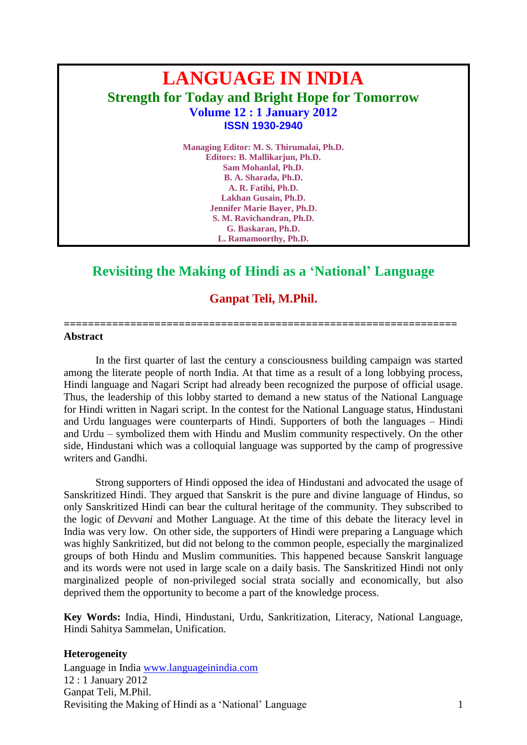# **LANGUAGE IN INDIA Strength for Today and Bright Hope for Tomorrow Volume 12 : 1 January 2012 ISSN 1930-2940**

**Managing Editor: M. S. Thirumalai, Ph.D. Editors: B. Mallikarjun, Ph.D. Sam Mohanlal, Ph.D. B. A. Sharada, Ph.D. A. R. Fatihi, Ph.D. Lakhan Gusain, Ph.D. Jennifer Marie Bayer, Ph.D. S. M. Ravichandran, Ph.D. G. Baskaran, Ph.D. L. Ramamoorthy, Ph.D.**

## **Revisiting the Making of Hindi as a 'National' Language**

**Ganpat Teli, M.Phil.**

**=================================================================**

#### **Abstract**

In the first quarter of last the century a consciousness building campaign was started among the literate people of north India. At that time as a result of a long lobbying process, Hindi language and Nagari Script had already been recognized the purpose of official usage. Thus, the leadership of this lobby started to demand a new status of the National Language for Hindi written in Nagari script. In the contest for the National Language status, Hindustani and Urdu languages were counterparts of Hindi. Supporters of both the languages – Hindi and Urdu – symbolized them with Hindu and Muslim community respectively. On the other side, Hindustani which was a colloquial language was supported by the camp of progressive writers and Gandhi.

Strong supporters of Hindi opposed the idea of Hindustani and advocated the usage of Sanskritized Hindi. They argued that Sanskrit is the pure and divine language of Hindus, so only Sanskritized Hindi can bear the cultural heritage of the community. They subscribed to the logic of *Devvani* and Mother Language. At the time of this debate the literacy level in India was very low. On other side, the supporters of Hindi were preparing a Language which was highly Sankritized, but did not belong to the common people, especially the marginalized groups of both Hindu and Muslim communities. This happened because Sanskrit language and its words were not used in large scale on a daily basis. The Sanskritized Hindi not only marginalized people of non-privileged social strata socially and economically, but also deprived them the opportunity to become a part of the knowledge process.

**Key Words:** India, Hindi, Hindustani, Urdu, Sankritization, Literacy, National Language, Hindi Sahitya Sammelan, Unification.

## **Heterogeneity**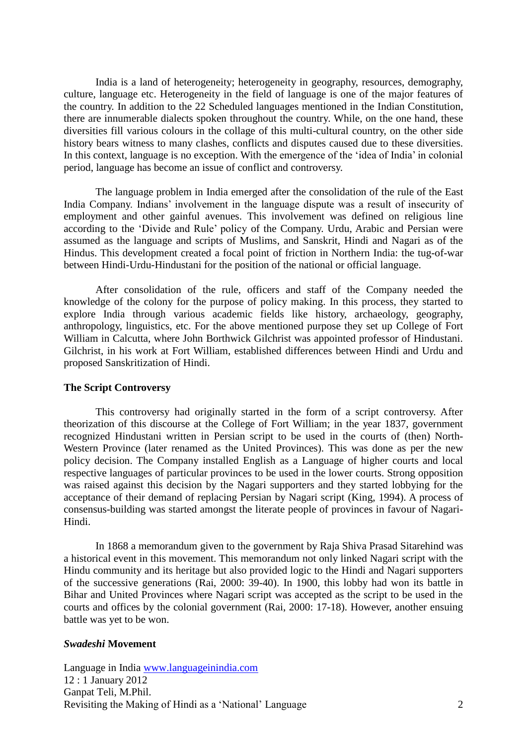India is a land of heterogeneity; heterogeneity in geography, resources, demography, culture, language etc. Heterogeneity in the field of language is one of the major features of the country. In addition to the 22 Scheduled languages mentioned in the Indian Constitution, there are innumerable dialects spoken throughout the country. While, on the one hand, these diversities fill various colours in the collage of this multi-cultural country, on the other side history bears witness to many clashes, conflicts and disputes caused due to these diversities. In this context, language is no exception. With the emergence of the 'idea of India' in colonial period, language has become an issue of conflict and controversy.

The language problem in India emerged after the consolidation of the rule of the East India Company. Indians' involvement in the language dispute was a result of insecurity of employment and other gainful avenues. This involvement was defined on religious line according to the 'Divide and Rule' policy of the Company. Urdu, Arabic and Persian were assumed as the language and scripts of Muslims, and Sanskrit, Hindi and Nagari as of the Hindus. This development created a focal point of friction in Northern India: the tug-of-war between Hindi-Urdu-Hindustani for the position of the national or official language.

After consolidation of the rule, officers and staff of the Company needed the knowledge of the colony for the purpose of policy making. In this process, they started to explore India through various academic fields like history, archaeology, geography, anthropology, linguistics, etc. For the above mentioned purpose they set up College of Fort William in Calcutta, where John Borthwick Gilchrist was appointed professor of Hindustani. Gilchrist, in his work at Fort William, established differences between Hindi and Urdu and proposed Sanskritization of Hindi.

### **The Script Controversy**

This controversy had originally started in the form of a script controversy. After theorization of this discourse at the College of Fort William; in the year 1837, government recognized Hindustani written in Persian script to be used in the courts of (then) North-Western Province (later renamed as the United Provinces). This was done as per the new policy decision. The Company installed English as a Language of higher courts and local respective languages of particular provinces to be used in the lower courts. Strong opposition was raised against this decision by the Nagari supporters and they started lobbying for the acceptance of their demand of replacing Persian by Nagari script (King, 1994). A process of consensus-building was started amongst the literate people of provinces in favour of Nagari-Hindi.

In 1868 a memorandum given to the government by Raja Shiva Prasad Sitarehind was a historical event in this movement. This memorandum not only linked Nagari script with the Hindu community and its heritage but also provided logic to the Hindi and Nagari supporters of the successive generations (Rai, 2000: 39-40). In 1900, this lobby had won its battle in Bihar and United Provinces where Nagari script was accepted as the script to be used in the courts and offices by the colonial government (Rai, 2000: 17-18). However, another ensuing battle was yet to be won.

### *Swadeshi* **Movement**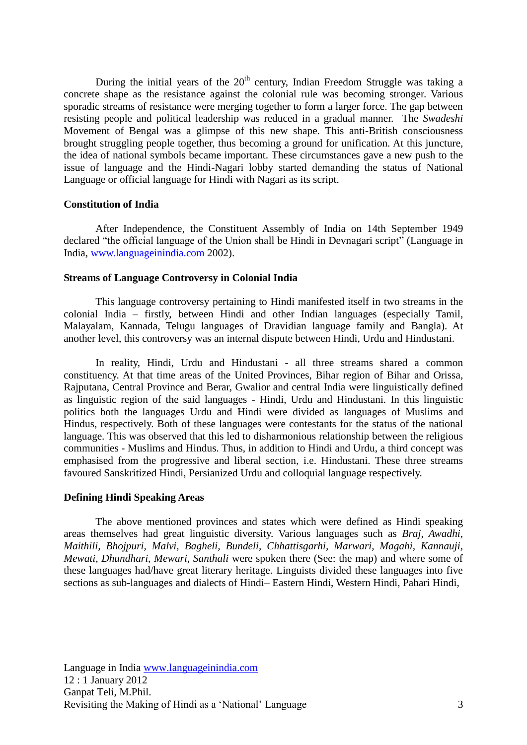During the initial years of the  $20<sup>th</sup>$  century, Indian Freedom Struggle was taking a concrete shape as the resistance against the colonial rule was becoming stronger. Various sporadic streams of resistance were merging together to form a larger force. The gap between resisting people and political leadership was reduced in a gradual manner. The *Swadeshi* Movement of Bengal was a glimpse of this new shape. This anti-British consciousness brought struggling people together, thus becoming a ground for unification. At this juncture, the idea of national symbols became important. These circumstances gave a new push to the issue of language and the Hindi-Nagari lobby started demanding the status of National Language or official language for Hindi with Nagari as its script.

#### **Constitution of India**

After Independence, the Constituent Assembly of India on 14th September 1949 declared "the official language of the Union shall be Hindi in Devnagari script" (Language in India, [www.languageinindia.com](http://www.languageinindia.com/) 2002).

## **Streams of Language Controversy in Colonial India**

This language controversy pertaining to Hindi manifested itself in two streams in the colonial India – firstly, between Hindi and other Indian languages (especially Tamil, Malayalam, Kannada, Telugu languages of Dravidian language family and Bangla). At another level, this controversy was an internal dispute between Hindi, Urdu and Hindustani.

In reality, Hindi, Urdu and Hindustani - all three streams shared a common constituency. At that time areas of the United Provinces, Bihar region of Bihar and Orissa, Rajputana, Central Province and Berar, Gwalior and central India were linguistically defined as linguistic region of the said languages - Hindi, Urdu and Hindustani. In this linguistic politics both the languages Urdu and Hindi were divided as languages of Muslims and Hindus, respectively. Both of these languages were contestants for the status of the national language. This was observed that this led to disharmonious relationship between the religious communities - Muslims and Hindus. Thus, in addition to Hindi and Urdu, a third concept was emphasised from the progressive and liberal section, i.e. Hindustani. These three streams favoured Sanskritized Hindi, Persianized Urdu and colloquial language respectively.

#### **Defining Hindi Speaking Areas**

The above mentioned provinces and states which were defined as Hindi speaking areas themselves had great linguistic diversity. Various languages such as *Braj, Awadhi, Maithili, Bhojpuri, Malvi, Bagheli, Bundeli, Chhattisgarhi, Marwari, Magahi, Kannauji, Mewati, Dhundhari, Mewari, Santhali* were spoken there (See: the map) and where some of these languages had/have great literary heritage. Linguists divided these languages into five sections as sub-languages and dialects of Hindi– Eastern Hindi, Western Hindi, Pahari Hindi,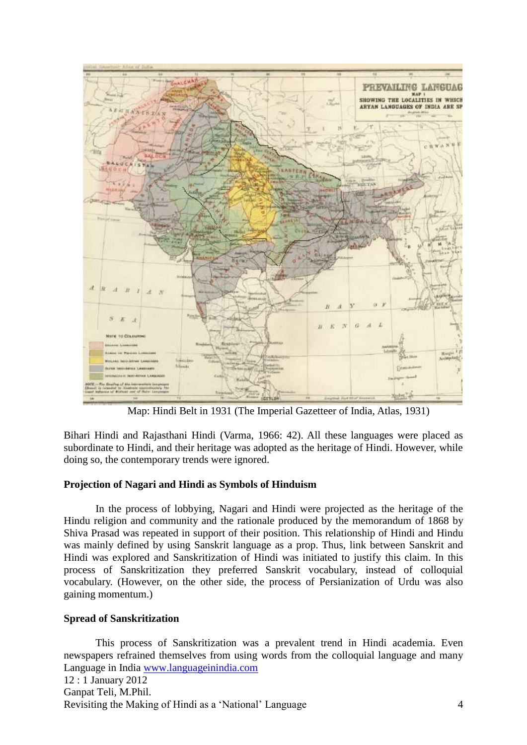

Map: Hindi Belt in 1931 (The Imperial Gazetteer of India, Atlas, 1931)

Bihari Hindi and Rajasthani Hindi (Varma, 1966: 42). All these languages were placed as subordinate to Hindi, and their heritage was adopted as the heritage of Hindi. However, while doing so, the contemporary trends were ignored.

## **Projection of Nagari and Hindi as Symbols of Hinduism**

In the process of lobbying, Nagari and Hindi were projected as the heritage of the Hindu religion and community and the rationale produced by the memorandum of 1868 by Shiva Prasad was repeated in support of their position. This relationship of Hindi and Hindu was mainly defined by using Sanskrit language as a prop. Thus, link between Sanskrit and Hindi was explored and Sanskritization of Hindi was initiated to justify this claim. In this process of Sanskritization they preferred Sanskrit vocabulary, instead of colloquial vocabulary. (However, on the other side, the process of Persianization of Urdu was also gaining momentum.)

## **Spread of Sanskritization**

Language in India [www.languageinindia.com](http://www.languageinindia.com/) 12 : 1 January 2012 Ganpat Teli, M.Phil. Revisiting the Making of Hindi as a 'National' Language 4 This process of Sanskritization was a prevalent trend in Hindi academia. Even newspapers refrained themselves from using words from the colloquial language and many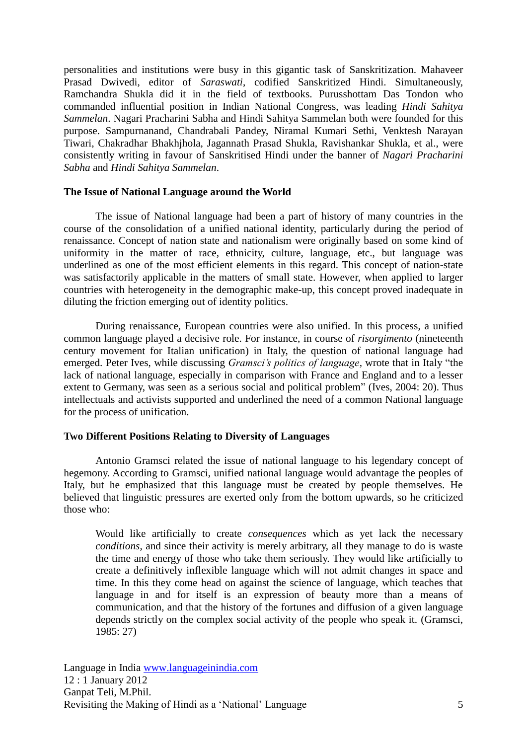personalities and institutions were busy in this gigantic task of Sanskritization. Mahaveer Prasad Dwivedi, editor of *Saraswati*, codified Sanskritized Hindi. Simultaneously, Ramchandra Shukla did it in the field of textbooks. Purusshottam Das Tondon who commanded influential position in Indian National Congress, was leading *Hindi Sahitya Sammelan*. Nagari Pracharini Sabha and Hindi Sahitya Sammelan both were founded for this purpose. Sampurnanand, Chandrabali Pandey, Niramal Kumari Sethi, Venktesh Narayan Tiwari, Chakradhar Bhakhjhola, Jagannath Prasad Shukla, Ravishankar Shukla, et al., were consistently writing in favour of Sanskritised Hindi under the banner of *Nagari Pracharini Sabha* and *Hindi Sahitya Sammelan*.

## **The Issue of National Language around the World**

The issue of National language had been a part of history of many countries in the course of the consolidation of a unified national identity, particularly during the period of renaissance. Concept of nation state and nationalism were originally based on some kind of uniformity in the matter of race, ethnicity, culture, language, etc., but language was underlined as one of the most efficient elements in this regard. This concept of nation-state was satisfactorily applicable in the matters of small state. However, when applied to larger countries with heterogeneity in the demographic make-up, this concept proved inadequate in diluting the friction emerging out of identity politics.

During renaissance, European countries were also unified. In this process, a unified common language played a decisive role. For instance, in course of *risorgimento* (nineteenth century movement for Italian unification) in Italy, the question of national language had emerged. Peter Ives, while discussing *Gramsci's politics of language,* wrote that in Italy "the lack of national language, especially in comparison with France and England and to a lesser extent to Germany, was seen as a serious social and political problem" (Ives, 2004: 20). Thus intellectuals and activists supported and underlined the need of a common National language for the process of unification.

## **Two Different Positions Relating to Diversity of Languages**

Antonio Gramsci related the issue of national language to his legendary concept of hegemony. According to Gramsci, unified national language would advantage the peoples of Italy, but he emphasized that this language must be created by people themselves. He believed that linguistic pressures are exerted only from the bottom upwards, so he criticized those who:

Would like artificially to create *consequences* which as yet lack the necessary *conditions*, and since their activity is merely arbitrary, all they manage to do is waste the time and energy of those who take them seriously. They would like artificially to create a definitively inflexible language which will not admit changes in space and time. In this they come head on against the science of language, which teaches that language in and for itself is an expression of beauty more than a means of communication, and that the history of the fortunes and diffusion of a given language depends strictly on the complex social activity of the people who speak it. (Gramsci, 1985: 27)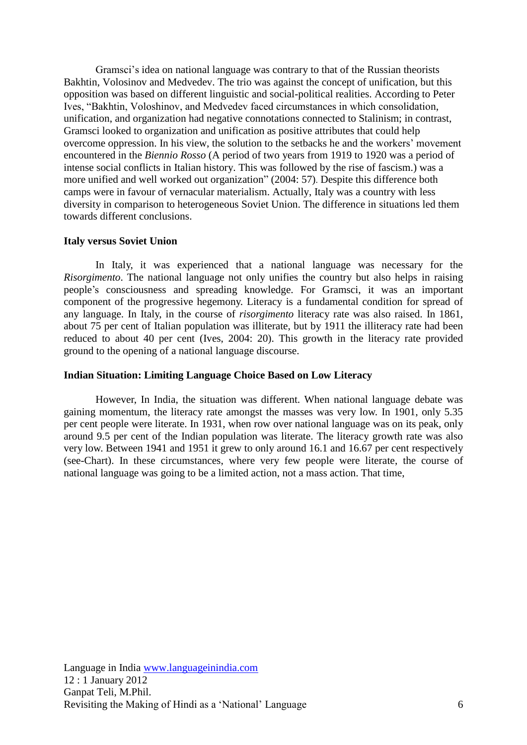Gramsci's idea on national language was contrary to that of the Russian theorists Bakhtin, Volosinov and Medvedev. The trio was against the concept of unification, but this opposition was based on different linguistic and social-political realities. According to Peter Ives, "Bakhtin, Voloshinov, and Medvedev faced circumstances in which consolidation, unification, and organization had negative connotations connected to Stalinism; in contrast, Gramsci looked to organization and unification as positive attributes that could help overcome oppression. In his view, the solution to the setbacks he and the workers' movement encountered in the *Biennio Rosso* (A period of two years from 1919 to 1920 was a period of intense social conflicts in Italian history. This was followed by the rise of fascism.) was a more unified and well worked out organization" (2004: 57). Despite this difference both camps were in favour of vernacular materialism. Actually, Italy was a country with less diversity in comparison to heterogeneous Soviet Union. The difference in situations led them towards different conclusions.

#### **Italy versus Soviet Union**

In Italy, it was experienced that a national language was necessary for the *Risorgimento*. The national language not only unifies the country but also helps in raising people's consciousness and spreading knowledge. For Gramsci, it was an important component of the progressive hegemony. Literacy is a fundamental condition for spread of any language. In Italy, in the course of *risorgimento* literacy rate was also raised. In 1861, about 75 per cent of Italian population was illiterate, but by 1911 the illiteracy rate had been reduced to about 40 per cent (Ives, 2004: 20). This growth in the literacy rate provided ground to the opening of a national language discourse.

## **Indian Situation: Limiting Language Choice Based on Low Literacy**

However, In India, the situation was different. When national language debate was gaining momentum, the literacy rate amongst the masses was very low. In 1901, only 5.35 per cent people were literate. In 1931, when row over national language was on its peak, only around 9.5 per cent of the Indian population was literate. The literacy growth rate was also very low. Between 1941 and 1951 it grew to only around 16.1 and 16.67 per cent respectively (see-Chart). In these circumstances, where very few people were literate, the course of national language was going to be a limited action, not a mass action. That time,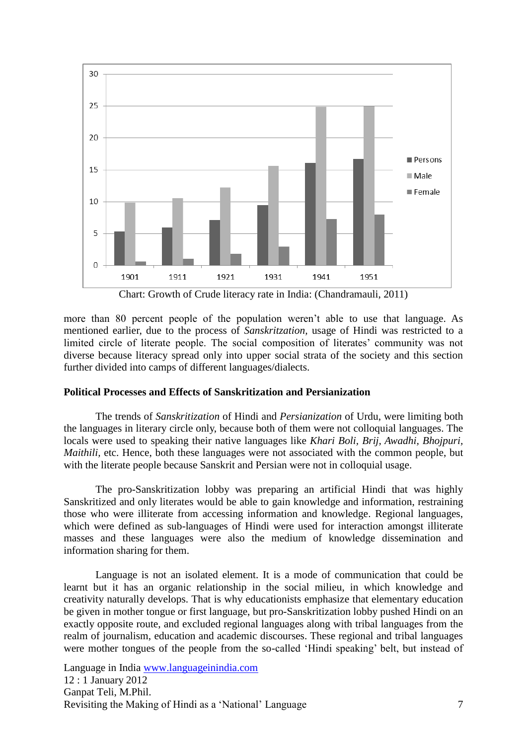

Chart: Growth of Crude literacy rate in India: (Chandramauli, 2011)

more than 80 percent people of the population weren't able to use that language. As mentioned earlier, due to the process of *Sanskritzation,* usage of Hindi was restricted to a limited circle of literate people. The social composition of literates' community was not diverse because literacy spread only into upper social strata of the society and this section further divided into camps of different languages/dialects.

## **Political Processes and Effects of Sanskritization and Persianization**

The trends of *Sanskritization* of Hindi and *Persianization* of Urdu, were limiting both the languages in literary circle only, because both of them were not colloquial languages. The locals were used to speaking their native languages like *Khari Boli, Brij, Awadhi, Bhojpuri, Maithili,* etc. Hence, both these languages were not associated with the common people, but with the literate people because Sanskrit and Persian were not in colloquial usage.

The pro-Sanskritization lobby was preparing an artificial Hindi that was highly Sanskritized and only literates would be able to gain knowledge and information, restraining those who were illiterate from accessing information and knowledge. Regional languages, which were defined as sub-languages of Hindi were used for interaction amongst illiterate masses and these languages were also the medium of knowledge dissemination and information sharing for them.

Language is not an isolated element. It is a mode of communication that could be learnt but it has an organic relationship in the social milieu, in which knowledge and creativity naturally develops. That is why educationists emphasize that elementary education be given in mother tongue or first language, but pro-Sanskritization lobby pushed Hindi on an exactly opposite route, and excluded regional languages along with tribal languages from the realm of journalism, education and academic discourses. These regional and tribal languages were mother tongues of the people from the so-called 'Hindi speaking' belt, but instead of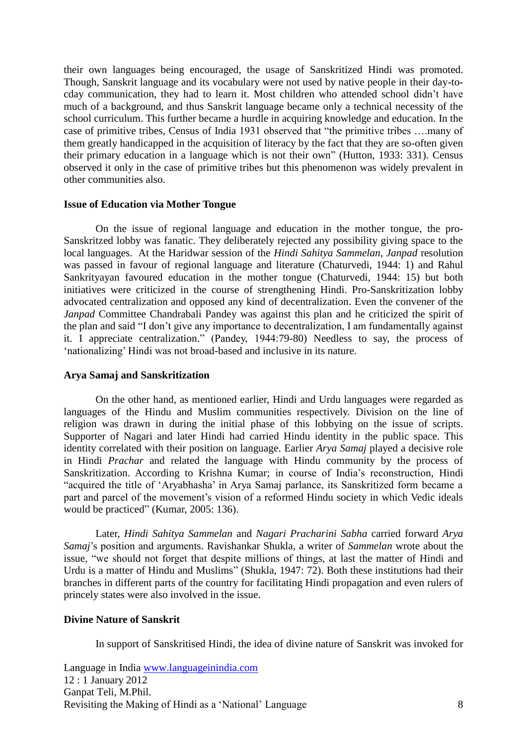their own languages being encouraged, the usage of Sanskritized Hindi was promoted. Though, Sanskrit language and its vocabulary were not used by native people in their day-tocday communication, they had to learn it. Most children who attended school didn't have much of a background, and thus Sanskrit language became only a technical necessity of the school curriculum. This further became a hurdle in acquiring knowledge and education. In the case of primitive tribes, Census of India 1931 observed that "the primitive tribes ….many of them greatly handicapped in the acquisition of literacy by the fact that they are so-often given their primary education in a language which is not their own" (Hutton, 1933: 331). Census observed it only in the case of primitive tribes but this phenomenon was widely prevalent in other communities also.

#### **Issue of Education via Mother Tongue**

On the issue of regional language and education in the mother tongue, the pro-Sanskritzed lobby was fanatic. They deliberately rejected any possibility giving space to the local languages. At the Haridwar session of the *Hindi Sahitya Sammelan*, *Janpad* resolution was passed in favour of regional language and literature (Chaturvedi, 1944: 1) and Rahul Sankrityayan favoured education in the mother tongue (Chaturvedi, 1944: 15) but both initiatives were criticized in the course of strengthening Hindi. Pro-Sanskritization lobby advocated centralization and opposed any kind of decentralization. Even the convener of the *Janpad* Committee Chandrabali Pandey was against this plan and he criticized the spirit of the plan and said "I don't give any importance to decentralization, I am fundamentally against it. I appreciate centralization." (Pandey, 1944:79-80) Needless to say, the process of 'nationalizing' Hindi was not broad-based and inclusive in its nature.

### **Arya Samaj and Sanskritization**

On the other hand, as mentioned earlier, Hindi and Urdu languages were regarded as languages of the Hindu and Muslim communities respectively. Division on the line of religion was drawn in during the initial phase of this lobbying on the issue of scripts. Supporter of Nagari and later Hindi had carried Hindu identity in the public space. This identity correlated with their position on language. Earlier *Arya Samaj* played a decisive role in Hindi *Prachar* and related the language with Hindu community by the process of Sanskritization. According to Krishna Kumar; in course of India's reconstruction, Hindi "acquired the title of 'Aryabhasha' in Arya Samaj parlance, its Sanskritized form became a part and parcel of the movement's vision of a reformed Hindu society in which Vedic ideals would be practiced" (Kumar, 2005: 136).

Later, *Hindi Sahitya Sammelan* and *Nagari Pracharini Sabha* carried forward *Arya Samaj*'s position and arguments. Ravishankar Shukla, a writer of *Sammelan* wrote about the issue, "we should not forget that despite millions of things, at last the matter of Hindi and Urdu is a matter of Hindu and Muslims" (Shukla, 1947: 72). Both these institutions had their branches in different parts of the country for facilitating Hindi propagation and even rulers of princely states were also involved in the issue.

## **Divine Nature of Sanskrit**

In support of Sanskritised Hindi, the idea of divine nature of Sanskrit was invoked for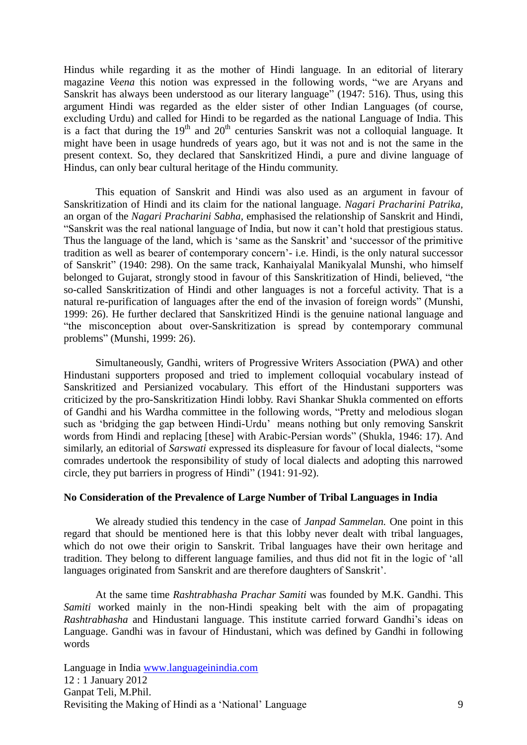Hindus while regarding it as the mother of Hindi language. In an editorial of literary magazine *Veena* this notion was expressed in the following words, "we are Aryans and Sanskrit has always been understood as our literary language" (1947: 516). Thus, using this argument Hindi was regarded as the elder sister of other Indian Languages (of course, excluding Urdu) and called for Hindi to be regarded as the national Language of India. This is a fact that during the  $19<sup>th</sup>$  and  $20<sup>th</sup>$  centuries Sanskrit was not a colloquial language. It might have been in usage hundreds of years ago, but it was not and is not the same in the present context. So, they declared that Sanskritized Hindi, a pure and divine language of Hindus, can only bear cultural heritage of the Hindu community.

This equation of Sanskrit and Hindi was also used as an argument in favour of Sanskritization of Hindi and its claim for the national language. *Nagari Pracharini Patrika,* an organ of the *Nagari Pracharini Sabha,* emphasised the relationship of Sanskrit and Hindi, "Sanskrit was the real national language of India, but now it can't hold that prestigious status. Thus the language of the land, which is 'same as the Sanskrit' and 'successor of the primitive tradition as well as bearer of contemporary concern'- i.e. Hindi, is the only natural successor of Sanskrit" (1940: 298). On the same track, Kanhaiyalal Manikyalal Munshi, who himself belonged to Gujarat, strongly stood in favour of this Sanskritization of Hindi, believed, "the so-called Sanskritization of Hindi and other languages is not a forceful activity. That is a natural re-purification of languages after the end of the invasion of foreign words" (Munshi, 1999: 26). He further declared that Sanskritized Hindi is the genuine national language and "the misconception about over-Sanskritization is spread by contemporary communal problems" (Munshi, 1999: 26).

Simultaneously, Gandhi, writers of Progressive Writers Association (PWA) and other Hindustani supporters proposed and tried to implement colloquial vocabulary instead of Sanskritized and Persianized vocabulary. This effort of the Hindustani supporters was criticized by the pro-Sanskritization Hindi lobby. Ravi Shankar Shukla commented on efforts of Gandhi and his Wardha committee in the following words, "Pretty and melodious slogan such as 'bridging the gap between Hindi-Urdu' means nothing but only removing Sanskrit words from Hindi and replacing [these] with Arabic-Persian words" (Shukla, 1946: 17). And similarly, an editorial of *Sarswati* expressed its displeasure for favour of local dialects, "some comrades undertook the responsibility of study of local dialects and adopting this narrowed circle, they put barriers in progress of Hindi" (1941: 91-92).

#### **No Consideration of the Prevalence of Large Number of Tribal Languages in India**

We already studied this tendency in the case of *Janpad Sammelan.* One point in this regard that should be mentioned here is that this lobby never dealt with tribal languages, which do not owe their origin to Sanskrit. Tribal languages have their own heritage and tradition. They belong to different language families, and thus did not fit in the logic of 'all languages originated from Sanskrit and are therefore daughters of Sanskrit'.

At the same time *Rashtrabhasha Prachar Samiti* was founded by M.K. Gandhi. This *Samiti* worked mainly in the non-Hindi speaking belt with the aim of propagating *Rashtrabhasha* and Hindustani language. This institute carried forward Gandhi's ideas on Language. Gandhi was in favour of Hindustani, which was defined by Gandhi in following words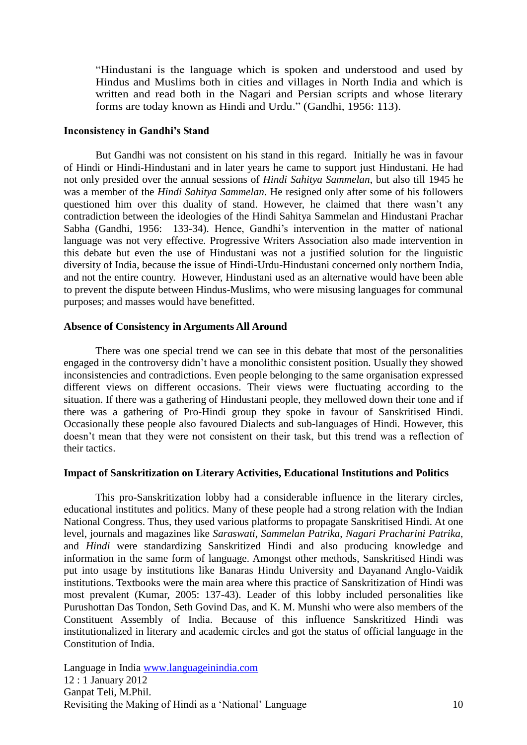"Hindustani is the language which is spoken and understood and used by Hindus and Muslims both in cities and villages in North India and which is written and read both in the Nagari and Persian scripts and whose literary forms are today known as Hindi and Urdu." (Gandhi, 1956: 113).

#### **Inconsistency in Gandhi's Stand**

But Gandhi was not consistent on his stand in this regard. Initially he was in favour of Hindi or Hindi-Hindustani and in later years he came to support just Hindustani. He had not only presided over the annual sessions of *Hindi Sahitya Sammelan*, but also till 1945 he was a member of the *Hindi Sahitya Sammelan*. He resigned only after some of his followers questioned him over this duality of stand. However, he claimed that there wasn't any contradiction between the ideologies of the Hindi Sahitya Sammelan and Hindustani Prachar Sabha (Gandhi, 1956: 133-34). Hence, Gandhi's intervention in the matter of national language was not very effective. Progressive Writers Association also made intervention in this debate but even the use of Hindustani was not a justified solution for the linguistic diversity of India, because the issue of Hindi-Urdu-Hindustani concerned only northern India, and not the entire country. However, Hindustani used as an alternative would have been able to prevent the dispute between Hindus-Muslims, who were misusing languages for communal purposes; and masses would have benefitted.

## **Absence of Consistency in Arguments All Around**

There was one special trend we can see in this debate that most of the personalities engaged in the controversy didn't have a monolithic consistent position. Usually they showed inconsistencies and contradictions. Even people belonging to the same organisation expressed different views on different occasions. Their views were fluctuating according to the situation. If there was a gathering of Hindustani people, they mellowed down their tone and if there was a gathering of Pro-Hindi group they spoke in favour of Sanskritised Hindi. Occasionally these people also favoured Dialects and sub-languages of Hindi. However, this doesn't mean that they were not consistent on their task, but this trend was a reflection of their tactics.

## **Impact of Sanskritization on Literary Activities, Educational Institutions and Politics**

This pro-Sanskritization lobby had a considerable influence in the literary circles, educational institutes and politics. Many of these people had a strong relation with the Indian National Congress. Thus, they used various platforms to propagate Sanskritised Hindi. At one level, journals and magazines like *Saraswati*, *Sammelan Patrika*, *Nagari Pracharini Patrika*, and *Hindi* were standardizing Sanskritized Hindi and also producing knowledge and information in the same form of language. Amongst other methods, Sanskritised Hindi was put into usage by institutions like Banaras Hindu University and Dayanand Anglo-Vaidik institutions. Textbooks were the main area where this practice of Sanskritization of Hindi was most prevalent (Kumar, 2005: 137-43). Leader of this lobby included personalities like Purushottan Das Tondon, Seth Govind Das, and K. M. Munshi who were also members of the Constituent Assembly of India. Because of this influence Sanskritized Hindi was institutionalized in literary and academic circles and got the status of official language in the Constitution of India.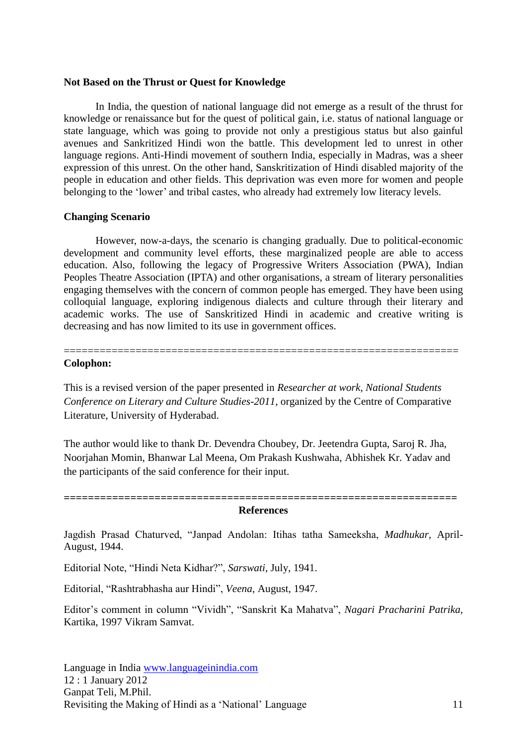#### **Not Based on the Thrust or Quest for Knowledge**

In India, the question of national language did not emerge as a result of the thrust for knowledge or renaissance but for the quest of political gain, i.e. status of national language or state language, which was going to provide not only a prestigious status but also gainful avenues and Sankritized Hindi won the battle. This development led to unrest in other language regions. Anti-Hindi movement of southern India, especially in Madras, was a sheer expression of this unrest. On the other hand, Sanskritization of Hindi disabled majority of the people in education and other fields. This deprivation was even more for women and people belonging to the 'lower' and tribal castes, who already had extremely low literacy levels.

## **Changing Scenario**

However, now-a-days, the scenario is changing gradually. Due to political-economic development and community level efforts, these marginalized people are able to access education. Also, following the legacy of Progressive Writers Association (PWA), Indian Peoples Theatre Association (IPTA) and other organisations, a stream of literary personalities engaging themselves with the concern of common people has emerged. They have been using colloquial language, exploring indigenous dialects and culture through their literary and academic works. The use of Sanskritized Hindi in academic and creative writing is decreasing and has now limited to its use in government offices.

## **Colophon:**

This is a revised version of the paper presented in *Researcher at work, National Students Conference on Literary and Culture Studies-2011*, organized by the Centre of Comparative Literature, University of Hyderabad.

==================================================================

The author would like to thank Dr. Devendra Choubey, Dr. Jeetendra Gupta, Saroj R. Jha, Noorjahan Momin, Bhanwar Lal Meena, Om Prakash Kushwaha, Abhishek Kr. Yadav and the participants of the said conference for their input.

#### **================================================================= References**

Jagdish Prasad Chaturved, "Janpad Andolan: Itihas tatha Sameeksha, *Madhukar,* April-August, 1944.

Editorial Note, "Hindi Neta Kidhar?", *Sarswati,* July, 1941.

Editorial, "Rashtrabhasha aur Hindi", *Veena,* August, 1947.

Editor's comment in column "Vividh", "Sanskrit Ka Mahatva", *Nagari Pracharini Patrika,*  Kartika, 1997 Vikram Samvat.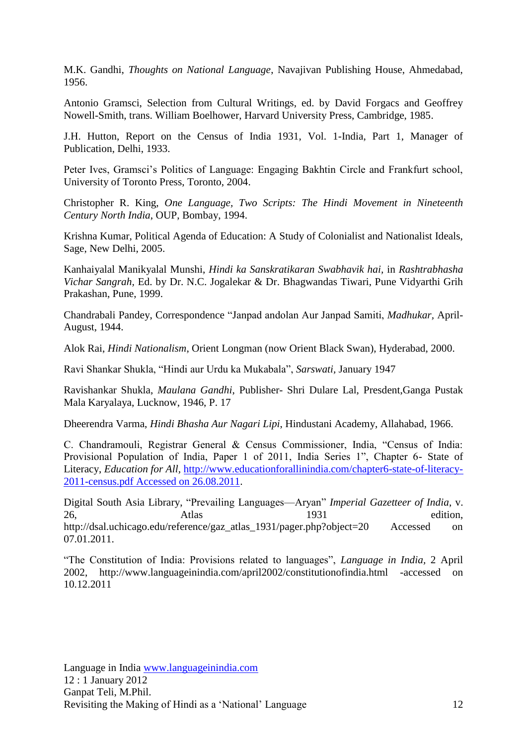M.K. Gandhi, *Thoughts on National Language*, Navajivan Publishing House, Ahmedabad, 1956.

Antonio Gramsci, Selection from Cultural Writings, ed. by David Forgacs and Geoffrey Nowell-Smith, trans. William Boelhower, Harvard University Press, Cambridge, 1985.

J.H. Hutton, Report on the Census of India 1931, Vol. 1-India, Part 1, Manager of Publication, Delhi, 1933.

Peter Ives, Gramsci's Politics of Language: Engaging Bakhtin Circle and Frankfurt school, University of Toronto Press, Toronto, 2004.

Christopher R. King, *One Language, Two Scripts: The Hindi Movement in Nineteenth Century North India*, OUP, Bombay, 1994.

Krishna Kumar, Political Agenda of Education: A Study of Colonialist and Nationalist Ideals, Sage, New Delhi, 2005.

Kanhaiyalal Manikyalal Munshi, *Hindi ka Sanskratikaran Swabhavik hai,* in *Rashtrabhasha Vichar Sangrah,* Ed. by Dr. N.C. Jogalekar & Dr. Bhagwandas Tiwari, Pune Vidyarthi Grih Prakashan, Pune, 1999.

Chandrabali Pandey, Correspondence "Janpad andolan Aur Janpad Samiti, *Madhukar,* April-August, 1944.

Alok Rai, *Hindi Nationalism*, Orient Longman (now Orient Black Swan), Hyderabad, 2000.

Ravi Shankar Shukla, "Hindi aur Urdu ka Mukabala", *Sarswati,* January 1947

Ravishankar Shukla, *Maulana Gandhi*, Publisher- Shri Dulare Lal, Presdent,Ganga Pustak Mala Karyalaya, Lucknow, 1946, P. 17

Dheerendra Varma, *Hindi Bhasha Aur Nagari Lipi*, Hindustani Academy, Allahabad, 1966.

C. Chandramouli, Registrar General & Census Commissioner, India, "Census of India: Provisional Population of India, Paper 1 of 2011, India Series 1", Chapter 6- State of Literacy, *Education for All,* [http://www.educationforallinindia.com/chapter6-state-of-literacy-](http://www.educationforallinindia.com/chapter6-state-of-literacy-2011-census.pdf%20Accessed%20on%2026.08.2011)[2011-census.pdf Accessed on 26.08.2011.](http://www.educationforallinindia.com/chapter6-state-of-literacy-2011-census.pdf%20Accessed%20on%2026.08.2011)

Digital South Asia Library, "Prevailing Languages—Aryan" *Imperial Gazetteer of India*, v. 26, Atlas 1931 edition, http://dsal.uchicago.edu/reference/gaz\_atlas\_1931/pager.php?object=20 Accessed on 07.01.2011.

"The Constitution of India: Provisions related to languages", *Language in India,* 2 April 2002, http://www.languageinindia.com/april2002/constitutionofindia.html -accessed on 10.12.2011